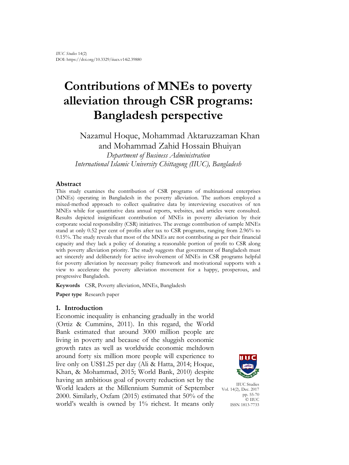# **Contributions of MNEs to poverty alleviation through CSR programs: Bangladesh perspective**

# Nazamul Hoque, Mohammad Aktaruzzaman Khan and Mohammad Zahid Hossain Bhuiyan

*Department of Business Administration International Islamic University Chittagong (IIUC), Bangladesh*

# **Abstract**

This study examines the contribution of CSR programs of multinational enterprises (MNEs) operating in Bangladesh in the poverty alleviation. The authors employed a mixed-method approach to collect qualitative data by interviewing executives of ten MNEs while for quantitative data annual reports, websites, and articles were consulted. Results depicted insignificant contribution of MNEs in poverty alleviation by their corporate social responsibility (CSR) initiatives. The average contribution of sample MNEs stand at only 0.52 per cent of profits after tax to CSR programs, ranging from 2.96% to 0.15%. The study reveals that most of the MNEs are not contributing as per their financial capacity and they lack a policy of donating a reasonable portion of profit to CSR along with poverty alleviation priority. The study suggests that government of Bangladesh must act sincerely and deliberately for active involvement of MNEs in CSR programs helpful for poverty alleviation by necessary policy framework and motivational supports with a view to accelerate the poverty alleviation movement for a happy, prosperous, and progressive Bangladesh.

**Keywords** CSR, Poverty alleviation, MNEs, Bangladesh

**Paper type** Research paper

### **1. Introduction**

Economic inequality is enhancing gradually in the world (Ortiz & Cummins, 2011). In this regard, the World Bank estimated that around 3000 million people are living in poverty and because of the sluggish economic growth rates as well as worldwide economic meltdown around forty six million more people will experience to live only on US\$1.25 per day (Ali & Hatta, 2014; Hoque, Khan, & Mohammad, 2015; World Bank, 2010) despite having an ambitious goal of poverty reduction set by the World leaders at the Millennium Summit of September 2000. Similarly, Oxfam (2015) estimated that 50% of the world's wealth is owned by 1% richest. It means only



IIUC Studies Vol. 14(2), Dec. 2017 pp. 55-70 © IIUC ISSN 1813-7733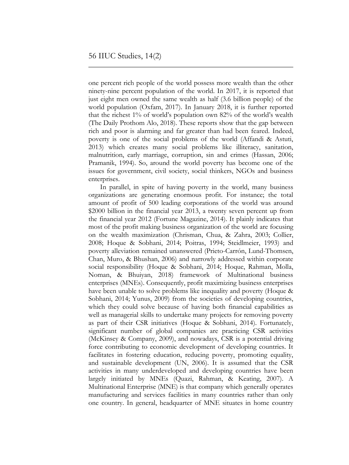one percent rich people of the world possess more wealth than the other ninety-nine percent population of the world. In 2017, it is reported that just eight men owned the same wealth as half (3.6 billion people) of the world population (Oxfam, 2017). In January 2018, it is further reported that the richest 1% of world's population own 82% of the world's wealth (The Daily Prothom Alo, 2018). These reports show that the gap between rich and poor is alarming and far greater than had been feared. Indeed, poverty is one of the social problems of the world (Affandi & Astuti, 2013) which creates many social problems like illiteracy, sanitation, malnutrition, early marriage, corruption, sin and crimes (Hassan, 2006; Pramanik, 1994). So, around the world poverty has become one of the issues for government, civil society, social thinkers, NGOs and business enterprises.

In parallel, in spite of having poverty in the world, many business organizations are generating enormous profit. For instance; the total amount of profit of 500 leading corporations of the world was around \$2000 billion in the financial year 2013, a twenty seven percent up from the financial year 2012 (Fortune Magazine, 2014). It plainly indicates that most of the profit making business organization of the world are focusing on the wealth maximization (Chrisman, Chua, & Zahra, 2003; Collier, 2008; Hoque & Sobhani, 2014; Poitras, 1994; Steidlmeier, 1993) and poverty alleviation remained unanswered (Prieto-Carrón, Lund-Thomsen, Chan, Muro, & Bhushan, 2006) and narrowly addressed within corporate social responsibility (Hoque & Sobhani, 2014; Hoque, Rahman, Molla, Noman, & Bhuiyan, 2018) framework of Multinational business enterprises (MNEs). Consequently, profit maximizing business enterprises have been unable to solve problems like inequality and poverty (Hoque & Sobhani, 2014; Yunus, 2009) from the societies of developing countries, which they could solve because of having both financial capabilities as well as managerial skills to undertake many projects for removing poverty as part of their CSR initiatives (Hoque & Sobhani, 2014). Fortunately, significant number of global companies are practicing CSR activities (McKinsey & Company, 2009), and nowadays, CSR is a potential driving force contributing to economic development of developing countries. It facilitates in fostering education, reducing poverty, promoting equality, and sustainable development (UN, 2006). It is assumed that the CSR activities in many underdeveloped and developing countries have been largely initiated by MNEs (Quazi, Rahman, & Keating, 2007). A Multinational Enterprise (MNE) is that company which generally operates manufacturing and services facilities in many countries rather than only one country. In general, headquarter of MNE situates in home country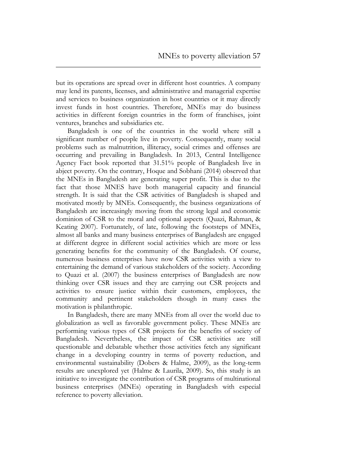but its operations are spread over in different host countries. A company may lend its patents, licenses, and administrative and managerial expertise and services to business organization in host countries or it may directly invest funds in host countries. Therefore, MNEs may do business activities in different foreign countries in the form of franchises, joint ventures, branches and subsidiaries etc.

Bangladesh is one of the countries in the world where still a significant number of people live in poverty. Consequently, many social problems such as malnutrition, illiteracy, social crimes and offenses are occurring and prevailing in Bangladesh. In 2013, Central Intelligence Agency Fact book reported that 31.51% people of Bangladesh live in abject poverty. On the contrary, Hoque and Sobhani (2014) observed that the MNEs in Bangladesh are generating super profit. This is due to the fact that those MNES have both managerial capacity and financial strength. It is said that the CSR activities of Bangladesh is shaped and motivated mostly by MNEs. Consequently, the business organizations of Bangladesh are increasingly moving from the strong legal and economic dominion of CSR to the moral and optional aspects (Quazi, Rahman, & Keating 2007). Fortunately, of late, following the footsteps of MNEs, almost all banks and many business enterprises of Bangladesh are engaged at different degree in different social activities which are more or less generating benefits for the community of the Bangladesh. Of course, numerous business enterprises have now CSR activities with a view to entertaining the demand of various stakeholders of the society. According to Quazi et al. (2007) the business enterprises of Bangladesh are now thinking over CSR issues and they are carrying out CSR projects and activities to ensure justice within their customers, employees, the community and pertinent stakeholders though in many cases the motivation is philanthropic.

In Bangladesh, there are many MNEs from all over the world due to globalization as well as favorable government policy. These MNEs are performing various types of CSR projects for the benefits of society of Bangladesh. Nevertheless, the impact of CSR activities are still questionable and debatable whether those activities fetch any significant change in a developing country in terms of poverty reduction, and environmental sustainability (Dobers & Halme, 2009), as the long-term results are unexplored yet (Halme & Laurila, 2009). So, this study is an initiative to investigate the contribution of CSR programs of multinational business enterprises (MNEs) operating in Bangladesh with especial reference to poverty alleviation.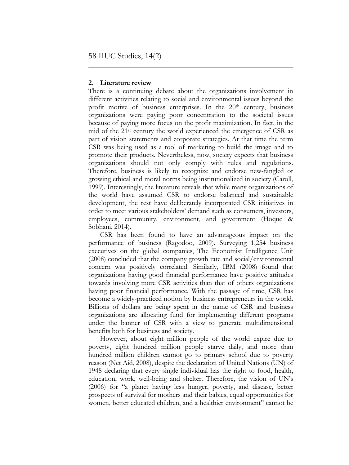# **2. Literature review**

There is a continuing debate about the organizations involvement in different activities relating to social and environmental issues beyond the profit motive of business enterprises. In the  $20<sup>th</sup>$  century, business organizations were paying poor concentration to the societal issues because of paying more focus on the profit maximization. In fact, in the mid of the 21st century the world experienced the emergence of CSR as part of vision statements and corporate strategies. At that time the term CSR was being used as a tool of marketing to build the image and to promote their products. Nevertheless, now, society expects that business organizations should not only comply with rules and regulations. Therefore, business is likely to recognize and endorse new-fangled or growing ethical and moral norms being institutionalized in society (Caroll, 1999). Interestingly, the literature reveals that while many organizations of the world have assumed CSR to endorse balanced and sustainable development, the rest have deliberately incorporated CSR initiatives in order to meet various stakeholders' demand such as consumers, investors, employees, community, environment, and government (Hoque & Sobhani, 2014).

CSR has been found to have an advantageous impact on the performance of business (Ragodoo, 2009). Surveying 1,254 business executives on the global companies, The Economist Intelligence Unit (2008) concluded that the company growth rate and social/environmental concern was positively correlated. Similarly, IBM (2008) found that organizations having good financial performance have positive attitudes towards involving more CSR activities than that of others organizations having poor financial performance. With the passage of time, CSR has become a widely-practiced notion by business entrepreneurs in the world. Billions of dollars are being spent in the name of CSR and business organizations are allocating fund for implementing different programs under the banner of CSR with a view to generate multidimensional benefits both for business and society.

However, about eight million people of the world expire due to poverty, eight hundred million people starve daily, and more than hundred million children cannot go to primary school due to poverty reason (Net Aid, 2008), despite the declaration of United Nations (UN) of 1948 declaring that every single individual has the right to food, health, education, work, well-being and shelter. Therefore, the vision of UN's (2006) for ''a planet having less hunger, poverty, and disease, better prospects of survival for mothers and their babies, equal opportunities for women, better educated children, and a healthier environment'' cannot be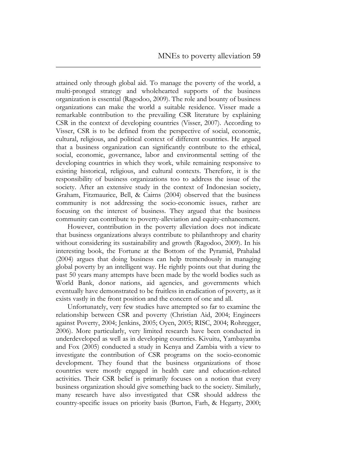attained only through global aid. To manage the poverty of the world, a multi-pronged strategy and wholehearted supports of the business organization is essential (Ragodoo, 2009). The role and bounty of business organizations can make the world a suitable residence. Visser made a remarkable contribution to the prevailing CSR literature by explaining CSR in the context of developing countries (Visser, 2007). According to Visser, CSR is to be defined from the perspective of social, economic, cultural, religious, and political context of different countries. He argued that a business organization can significantly contribute to the ethical, social, economic, governance, labor and environmental setting of the developing countries in which they work, while remaining responsive to existing historical, religious, and cultural contexts. Therefore, it is the responsibility of business organizations too to address the issue of the society. After an extensive study in the context of Indonesian society, Graham, Fitzmaurice, Bell, & Cairns (2004) observed that the business community is not addressing the socio-economic issues, rather are focusing on the interest of business. They argued that the business community can contribute to poverty-alleviation and equity-enhancement.

However, contribution in the poverty alleviation does not indicate that business organizations always contribute to philanthropy and charity without considering its sustainability and growth (Ragodoo, 2009). In his interesting book, the Fortune at the Bottom of the Pyramid, Prahalad (2004) argues that doing business can help tremendously in managing global poverty by an intelligent way. He rightly points out that during the past 50 years many attempts have been made by the world bodies such as World Bank, donor nations, aid agencies, and governments which eventually have demonstrated to be fruitless in eradication of poverty, as it exists vastly in the front position and the concern of one and all.

Unfortunately, very few studies have attempted so far to examine the relationship between CSR and poverty (Christian Aid, 2004; Engineers against Poverty, 2004; Jenkins, 2005; Oyen, 2005; RISC, 2004; Rohregger, 2006). More particularly, very limited research have been conducted in underdeveloped as well as in developing countries. Kivuitu, Yambayamba and Fox (2005) conducted a study in Kenya and Zambia with a view to investigate the contribution of CSR programs on the socio-economic development. They found that the business organizations of those countries were mostly engaged in health care and education-related activities. Their CSR belief is primarily focuses on a notion that every business organization should give something back to the society. Similarly, many research have also investigated that CSR should address the country-specific issues on priority basis (Burton, Farh, & Hegarty, 2000;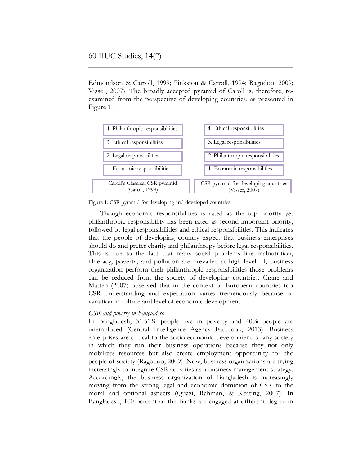Edmondson & Carroll, 1999; Pinkston & Carroll, 1994; Ragodoo, 2009; Visser, 2007). The broadly accepted pyramid of Caroll is, therefore, reexamined from the perspective of developing countries, as presented in Figure 1.



Figure 1: CSR pyramid for developing and developed countries

Though economic responsibilities is rated as the top priority yet philanthropic responsibility has been rated as second important priority, followed by legal responsibilities and ethical responsibilities. This indicates that the people of developing country expect that business enterprises should do and prefer charity and philanthropy before legal responsibilities. This is due to the fact that many social problems like malnutrition, illiteracy, poverty, and pollution are prevailed at high level. If, business organization perform their philanthropic responsibilities those problems can be reduced from the society of developing countries. Crane and Matten (2007) observed that in the context of European countries too CSR understanding and expectation varies tremendously because of variation in culture and level of economic development.

# *CSR and poverty in Bangladesh*

In Bangladesh, 31.51% people live in poverty and 40% people are unemployed (Central Intelligence Agency Factbook, 2013). Business enterprises are critical to the socio-economic development of any society in which they run their business operations because they not only mobilizes resources but also create employment opportunity for the people of society (Ragodoo, 2009). Now, business organizations are trying increasingly to integrate CSR activities as a business management strategy. Accordingly, the business organization of Bangladesh is increasingly moving from the strong legal and economic dominion of CSR to the moral and optional aspects (Quazi, Rahman, & Keating, 2007). In Bangladesh, 100 percent of the Banks are engaged at different degree in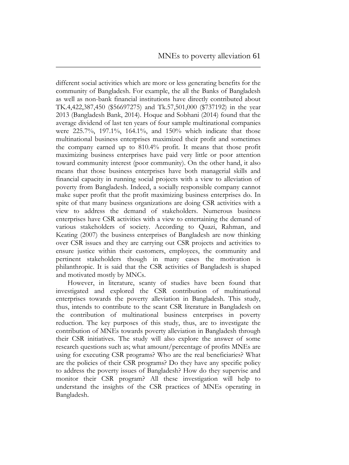different social activities which are more or less generating benefits for the community of Bangladesh. For example, the all the Banks of Bangladesh as well as non-bank financial institutions have directly contributed about TK.4,422,387,450 (\$56697275) and Tk.57,501,000 (\$737192) in the year 2013 (Bangladesh Bank, 2014). Hoque and Sobhani (2014) found that the average dividend of last ten years of four sample multinational companies were 225.7%, 197.1%, 164.1%, and 150% which indicate that those multinational business enterprises maximized their profit and sometimes the company earned up to 810.4% profit. It means that those profit maximizing business enterprises have paid very little or poor attention toward community interest (poor community). On the other hand, it also means that those business enterprises have both managerial skills and financial capacity in running social projects with a view to alleviation of poverty from Bangladesh. Indeed, a socially responsible company cannot make super profit that the profit maximizing business enterprises do. In spite of that many business organizations are doing CSR activities with a view to address the demand of stakeholders. Numerous business enterprises have CSR activities with a view to entertaining the demand of various stakeholders of society. According to Quazi, Rahman, and Keating (2007) the business enterprises of Bangladesh are now thinking over CSR issues and they are carrying out CSR projects and activities to ensure justice within their customers, employees, the community and pertinent stakeholders though in many cases the motivation is philanthropic. It is said that the CSR activities of Bangladesh is shaped and motivated mostly by MNCs.

However, in literature, scanty of studies have been found that investigated and explored the CSR contribution of multinational enterprises towards the poverty alleviation in Bangladesh. This study, thus, intends to contribute to the scant CSR literature in Bangladesh on the contribution of multinational business enterprises in poverty reduction. The key purposes of this study, thus, are to investigate the contribution of MNEs towards poverty alleviation in Bangladesh through their CSR initiatives. The study will also explore the answer of some research questions such as; what amount/percentage of profits MNEs are using for executing CSR programs? Who are the real beneficiaries? What are the policies of their CSR programs? Do they have any specific policy to address the poverty issues of Bangladesh? How do they supervise and monitor their CSR program? All these investigation will help to understand the insights of the CSR practices of MNEs operating in Bangladesh.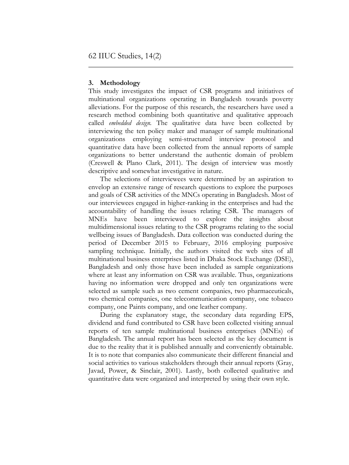# **3. Methodology**

This study investigates the impact of CSR programs and initiatives of multinational organizations operating in Bangladesh towards poverty alleviations. For the purpose of this research, the researchers have used a research method combining both quantitative and qualitative approach called *embedded design.* The qualitative data have been collected by interviewing the ten policy maker and manager of sample multinational organizations employing semi-structured interview protocol and quantitative data have been collected from the annual reports of sample organizations to better understand the authentic domain of problem (Creswell & Plano Clark, 2011). The design of interview was mostly descriptive and somewhat investigative in nature.

The selections of interviewees were determined by an aspiration to envelop an extensive range of research questions to explore the purposes and goals of CSR activities of the MNCs operating in Bangladesh. Most of our interviewees engaged in higher-ranking in the enterprises and had the accountability of handling the issues relating CSR. The managers of MNEs have been interviewed to explore the insights about multidimensional issues relating to the CSR programs relating to the social wellbeing issues of Bangladesh. Data collection was conducted during the period of December 2015 to February, 2016 employing purposive sampling technique. Initially, the authors visited the web sites of all multinational business enterprises listed in Dhaka Stock Exchange (DSE), Bangladesh and only those have been included as sample organizations where at least any information on CSR was available. Thus, organizations having no information were dropped and only ten organizations were selected as sample such as two cement companies, two pharmaceuticals, two chemical companies, one telecommunication company, one tobacco company, one Paints company, and one leather company.

During the explanatory stage, the secondary data regarding EPS, dividend and fund contributed to CSR have been collected visiting annual reports of ten sample multinational business enterprises (MNEs) of Bangladesh. The annual report has been selected as the key document is due to the reality that it is published annually and conveniently obtainable. It is to note that companies also communicate their different financial and social activities to various stakeholders through their annual reports (Gray, Javad, Power, & Sinclair, 2001). Lastly, both collected qualitative and quantitative data were organized and interpreted by using their own style.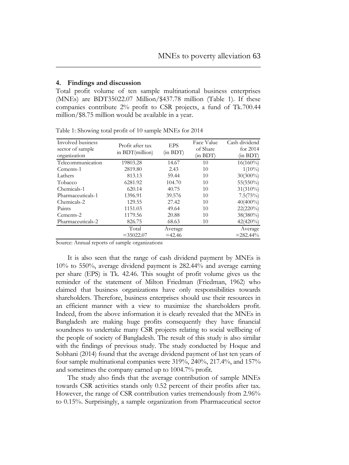### **4. Findings and discussion**

Total profit volume of ten sample multinational business enterprises (MNEs) are BDT35022.07 Million/\$437.78 million (Table 1). If these companies contribute 2% profit to CSR projects, a fund of Tk.700.44 million/\$8.75 million would be available in a year.

| Involved business<br>sector of sample<br>organization | Profit after tax<br>in BDT(million) | EPS<br>(in BDT) | Face Value<br>of Share<br>ín BDT) | Cash dividend<br>for $2014$<br>(in BDT) |
|-------------------------------------------------------|-------------------------------------|-----------------|-----------------------------------|-----------------------------------------|
| Telecommunication                                     | 19803.28                            | 14.67           | 10                                | $16(160\%)$                             |
| Cements-1                                             | 2819.80                             | 2.43            | 10                                | $1(10\%)$                               |
| Lathers                                               | 813.13                              | 59.44           | 10                                | $30(300\%)$                             |
| Tobacco                                               | 6281.92                             | 104.70          | 10                                | $55(550\%)$                             |
| Chemicals-1                                           | 620.14                              | 40.75           | 10                                | $31(310\%)$                             |
| Pharmaceuticals-1                                     | 1396.91                             | 39.576          | 10                                | 7.5(75%)                                |
| Chemicals-2                                           | 129.55                              | 27.42           | 10                                | $40(400\%)$                             |
| Paints                                                | 1151.03                             | 49.64           | 10                                | $22(220\%)$                             |
| Cements-2                                             | 1179.56                             | 20.88           | 10                                | $38(380\%)$                             |
| Pharmaceuticals-2                                     | 826.75                              | 68.63           | 10                                | $42(420\%)$                             |
|                                                       | Total                               | Average         |                                   | Average                                 |
|                                                       | $= 35022.07$                        | $=42.46$        |                                   | $= 282.44\%$                            |

Table 1: Showing total profit of 10 sample MNEs for 2014

Source: Annual reports of sample organizations

It is also seen that the range of cash dividend payment by MNEs is 10% to 550%, average dividend payment is 282.44% and average earning per share (EPS) is Tk. 42.46. This sought of profit volume gives us the reminder of the statement of Milton Friedman (Friedman, 1962) who claimed that business organizations have only responsibilities towards shareholders. Therefore, business enterprises should use their resources in an efficient manner with a view to maximize the shareholders profit. Indeed, from the above information it is clearly revealed that the MNEs in Bangladesh are making huge profits consequently they have financial soundness to undertake many CSR projects relating to social wellbeing of the people of society of Bangladesh. The result of this study is also similar with the findings of previous study. The study conducted by Hoque and Sobhani (2014) found that the average dividend payment of last ten years of four sample multinational companies were 319%, 240%, 217.4%, and 157% and sometimes the company earned up to 1004.7% profit.

The study also finds that the average contribution of sample MNEs towards CSR activities stands only 0.52 percent of their profits after tax. However, the range of CSR contribution varies tremendously from 2.96% to 0.15%. Surprisingly, a sample organization from Pharmaceutical sector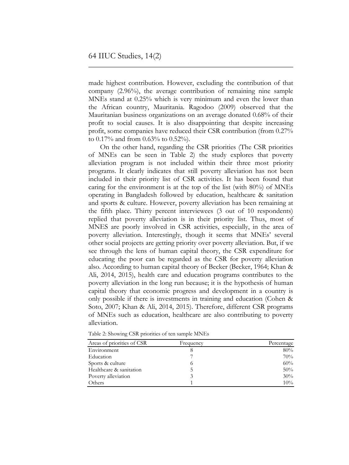made highest contribution. However, excluding the contribution of that company (2.96%), the average contribution of remaining nine sample MNEs stand at 0.25% which is very minimum and even the lower than the African country, Mauritania. Ragodoo (2009) observed that the Mauritanian business organizations on an average donated 0.68% of their profit to social causes. It is also disappointing that despite increasing profit, some companies have reduced their CSR contribution (from 0.27% to 0.17% and from 0.63% to 0.52%).

On the other hand, regarding the CSR priorities (The CSR priorities of MNEs can be seen in Table 2) the study explores that poverty alleviation program is not included within their three most priority programs. It clearly indicates that still poverty alleviation has not been included in their priority list of CSR activities. It has been found that caring for the environment is at the top of the list (with 80%) of MNEs operating in Bangladesh followed by education, healthcare & sanitation and sports & culture. However, poverty alleviation has been remaining at the fifth place. Thirty percent interviewees (3 out of 10 respondents) replied that poverty alleviation is in their priority list. Thus, most of MNES are poorly involved in CSR activities, especially, in the area of poverty alleviation. Interestingly, though it seems that MNEs' several other social projects are getting priority over poverty alleviation. But, if we see through the lens of human capital theory, the CSR expenditure for educating the poor can be regarded as the CSR for poverty alleviation also. According to human capital theory of Becker (Becker, 1964; Khan & Ali, 2014, 2015), health care and education programs contributes to the poverty alleviation in the long run because; it is the hypothesis of human capital theory that economic progress and development in a country is only possible if there is investments in training and education (Cohen & Soto, 2007; Khan & Ali, 2014, 2015). Therefore, different CSR programs of MNEs such as education, healthcare are also contributing to poverty alleviation.

| Areas of priorities of CSR | Frequency | Percentage |
|----------------------------|-----------|------------|
| Environment                |           | 80%        |
| Education                  |           | 70%        |
| Sports & culture           | 0         | 60%        |
| Healthcare & sanitation    | כ.        | 50%        |
| Poverty alleviation        |           | 30%        |
| Others                     |           | 10%        |

Table 2: Showing CSR priorities of ten sample MNEs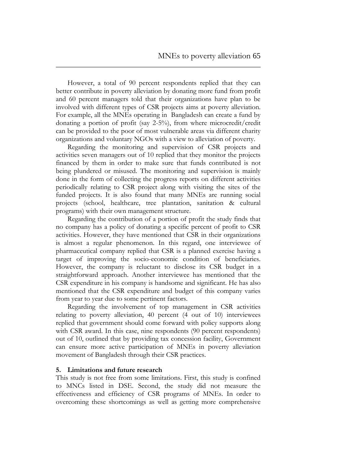However, a total of 90 percent respondents replied that they can better contribute in poverty alleviation by donating more fund from profit and 60 percent managers told that their organizations have plan to be involved with different types of CSR projects aims at poverty alleviation. For example, all the MNEs operating in Bangladesh can create a fund by donating a portion of profit (say 2-5%), from where microcredit/credit can be provided to the poor of most vulnerable areas via different charity organizations and voluntary NGOs with a view to alleviation of poverty.

Regarding the monitoring and supervision of CSR projects and activities seven managers out of 10 replied that they monitor the projects financed by them in order to make sure that funds contributed is not being plundered or misused. The monitoring and supervision is mainly done in the form of collecting the progress reports on different activities periodically relating to CSR project along with visiting the sites of the funded projects. It is also found that many MNEs are running social projects (school, healthcare, tree plantation, sanitation & cultural programs) with their own management structure.

Regarding the contribution of a portion of profit the study finds that no company has a policy of donating a specific percent of profit to CSR activities. However, they have mentioned that CSR in their organizations is almost a regular phenomenon. In this regard, one interviewee of pharmaceutical company replied that CSR is a planned exercise having a target of improving the socio-economic condition of beneficiaries. However, the company is reluctant to disclose its CSR budget in a straightforward approach. Another interviewee has mentioned that the CSR expenditure in his company is handsome and significant. He has also mentioned that the CSR expenditure and budget of this company varies from year to year due to some pertinent factors.

Regarding the involvement of top management in CSR activities relating to poverty alleviation, 40 percent (4 out of 10) interviewees replied that government should come forward with policy supports along with CSR award. In this case, nine respondents (90 percent respondents) out of 10, outlined that by providing tax concession facility, Government can ensure more active participation of MNEs in poverty alleviation movement of Bangladesh through their CSR practices.

### **5. Limitations and future research**

This study is not free from some limitations. First, this study is confined to MNCs listed in DSE. Second, the study did not measure the effectiveness and efficiency of CSR programs of MNEs. In order to overcoming these shortcomings as well as getting more comprehensive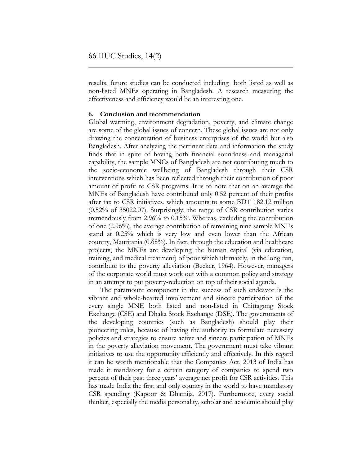results, future studies can be conducted including both listed as well as non-listed MNEs operating in Bangladesh. A research measuring the effectiveness and efficiency would be an interesting one.

## **6. Conclusion and recommendation**

Global warming, environment degradation, poverty, and climate change are some of the global issues of concern. These global issues are not only drawing the concentration of business enterprises of the world but also Bangladesh. After analyzing the pertinent data and information the study finds that in spite of having both financial soundness and managerial capability, the sample MNCs of Bangladesh are not contributing much to the socio-economic wellbeing of Bangladesh through their CSR interventions which has been reflected through their contribution of poor amount of profit to CSR programs. It is to note that on an average the MNEs of Bangladesh have contributed only 0.52 percent of their profits after tax to CSR initiatives, which amounts to some BDT 182.12 million (0.52% of 35022.07). Surprisingly, the range of CSR contribution varies tremendously from 2.96% to 0.15%. Whereas, excluding the contribution of one (2.96%), the average contribution of remaining nine sample MNEs stand at 0.25% which is very low and even lower than the African country, Mauritania (0.68%). In fact, through the education and healthcare projects, the MNEs are developing the human capital (via education, training, and medical treatment) of poor which ultimately, in the long run, contribute to the poverty alleviation (Becker, 1964). However, managers of the corporate world must work out with a common policy and strategy in an attempt to put poverty-reduction on top of their social agenda.

The paramount component in the success of such endeavor is the vibrant and whole-hearted involvement and sincere participation of the every single MNE both listed and non-listed in Chittagong Stock Exchange (CSE) and Dhaka Stock Exchange (DSE). The governments of the developing countries (such as Bangladesh) should play their pioneering roles, because of having the authority to formulate necessary policies and strategies to ensure active and sincere participation of MNEs in the poverty alleviation movement. The government must take vibrant initiatives to use the opportunity efficiently and effectively. In this regard it can be worth mentionable that the Companies Act, 2013 of India has made it mandatory for a certain category of companies to spend two percent of their past three years' average net profit for CSR activities. This has made India the first and only country in the world to have mandatory CSR spending (Kapoor & Dhamija, 2017). Furthermore, every social thinker, especially the media personality, scholar and academic should play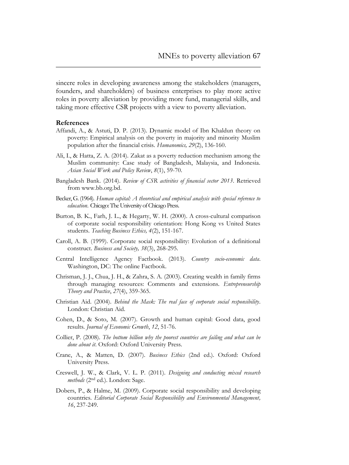sincere roles in developing awareness among the stakeholders (managers, founders, and shareholders) of business enterprises to play more active roles in poverty alleviation by providing more fund, managerial skills, and taking more effective CSR projects with a view to poverty alleviation.

### **References**

- Affandi, A., & Astuti, D. P. (2013). Dynamic model of Ibn Khaldun theory on poverty: Empirical analysis on the poverty in majority and minority Muslim population after the financial crisis. *Humanomics, 29*(2), 136-160.
- Ali, I., & Hatta, Z. A. (2014). Zakat as a poverty reduction mechanism among the Muslim community: Case study of Bangladesh, Malaysia, and Indonesia. *Asian Social Work and Policy Review*, *8*(1), 59-70.
- Bangladesh Bank. (2014). *Review of CSR activities of financial sector 2013*. Retrieved from [www.bb.org.bd.](http://www.bb.org.bd/)
- Becker, G. (1964). *Human capital: A theoretical and empirical analysis with special reference to education*. Chicago: The University of Chicago Press.
- Burton, B. K., Farh, J. L., & Hegarty, W. H. (2000). A cross-cultural comparison of corporate social responsibility orientation: Hong Kong vs United States students. *Teaching Business Ethics, 4*(2), 151-167.
- Caroll, A. B. (1999). Corporate social responsibility: Evolution of a definitional construct. *Business and Society, 38*(3), 268-295.
- Central Intelligence Agency Factbook. (2013). *Country socio-economic data*. Washington, DC: The online Factbook.
- Chrisman, J. J., Chua, J. H., & Zahra, S. A. (2003). Creating wealth in family firms through managing resources: Comments and extensions. *Entrepreneurship Theory and Practice*, *27*(4), 359-365.
- Christian Aid. (2004). *Behind the Mask: The real face of corporate social responsibility*. London: Christian Aid.
- Cohen, D., & Soto, M. (2007). Growth and human capital: Good data, good results. *Journal of Economic Growth*, *12*, 51-76.
- Collier, P. (2008). *The bottom billion why the poorest countries are failing and what can be done about it*. Oxford: Oxford University Press.
- Crane, A., & Matten, D. (2007). *Business Ethics* (2nd ed.). Oxford: Oxford University Press.
- Creswell, J. W., & Clark, V. L. P. (2011). *Designing and conducting mixed research methods* (2nd ed.). London: Sage.
- Dobers, P., & Halme, M. (2009). Corporate social responsibility and developing countries. *Editorial Corporate Social Responsibility and Environmental Management, 16*, 237-249.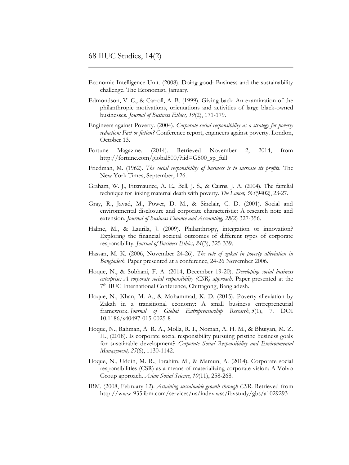- Economic Intelligence Unit. (2008). Doing good: Business and the sustainability challenge. The Economist, January.
- Edmondson, V. C., & Carroll, A. B. (1999). Giving back: An examination of the philanthropic motivations, orientations and activities of large black-owned businesses. *Journal of Business Ethics, 19*(2), 171-179.
- Engineers against Poverty. (2004). *Corporate social responsibility as a strategy for poverty reduction: Fact or fiction?* Conference report, engineers against poverty. London, October 13.
- Fortune Magazine. (2014). Retrieved November 2, 2014, from [http://fortune.com/global500/?iid=G500\\_sp\\_full](http://fortune.com/global500/?iid=G500_sp_full)
- Friedman, M. (1962). *The social responsibility of business is to increase its profits*. The New York Times, September, 126.
- Graham, W. J., Fitzmaurice, A. E., Bell, J. S., & Cairns, J. A. (2004). The familial technique for linking maternal death with poverty. *The Lancet, 363*(9402), 23-27.
- Gray, R., Javad, M., Power, D. M., & Sinclair, C. D. (2001). Social and environmental disclosure and corporate characteristic: A research note and extension. *Journal of Business Finance and Accounting, 28*(2) 327-356.
- Halme, M., & Laurila, J. (2009). Philanthropy, integration or innovation? Exploring the financial societal outcomes of different types of corporate responsibility. *Journal of Business Ethics, 84*(3), 325-339.
- Hassan, M. K. (2006, November 24-26). *The role of zakat in poverty alleviation in Bangladesh*. Paper presented at a conference, 24-26 November 2006.
- Hoque, N., & Sobhani, F. A. (2014, December 19-20). *Developing social business enterprise: A corporate social responsibility (CSR) approach*. Paper presented at the 7 th IIUC International Conference, Chittagong, Bangladesh.
- Hoque, N., Khan, M. A., & Mohammad, K. D. (2015). Poverty alleviation by Zakah in a transitional economy: A small business entrepreneurial framework. *Journal of Global Entrepreneurship Research*, *5*(1), 7. DOI 10.1186/s40497-015-0025-8
- Hoque, N., Rahman, A. R. A., Molla, R. I., Noman, A. H. M., & Bhuiyan, M. Z. H., (2018). Is corporate social responsibility pursuing pristine business goals for sustainable development? *Corporate Social Responsibility and Environmental Management, 25*(6), 1130-1142*.*
- Hoque, N., Uddin, M. R., Ibrahim, M., & Mamun, A. (2014). Corporate social responsibilities (CSR) as a means of materializing corporate vision: A Volvo Group approach. *Asian Social Science*, *10*(11), 258-268.
- IBM. (2008, February 12). *Attaining sustainable growth through CSR*. Retrieved from <http://www-935.ibm.com/services/us/index.wss/ibvstudy/gbs/a1029293>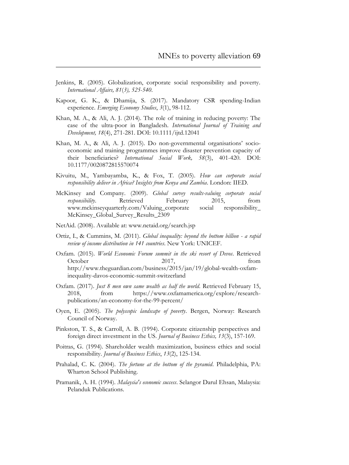- Jenkins, R. (2005). Globalization, corporate social responsibility and poverty. *International Affairs, 81*(*3), 525-540*.
- Kapoor, G. K., & Dhamija, S. (2017). Mandatory CSR spending-Indian experience. *Emerging Economy Studies*, *3*(1), 98-112.
- Khan, M. A., & Ali, A. J. (2014). The role of training in reducing poverty: The case of the ultra-poor in Bangladesh. *International Journal of Training and Development, 18*(4), 271-281. DOI: 10.1111/ijtd.12041
- Khan, M. A., & Ali, A. J. (2015). Do non-governmental organisations' socioeconomic and training programmes improve disaster prevention capacity of their beneficiaries? *International Social Work, 58*(3), 401-420. DOI: 10.1177/0020872815570074
- Kivuitu, M., Yambayamba, K., & Fox, T. (2005). *How can corporate social responsibility deliver in Africa? Insights from Kenya and Zambia*. London: IIED.
- McKinsey and Company. (2009). *Global survey results-valuing corporate social responsibility*. Retrieved February 2015, from www.mckinseyquarterly.com/Valuing\_corporate social responsibility\_ McKinsey\_Global\_Survey\_Results\_2309
- NetAid. (2008). Available at: www.netaid.org/search.jsp
- Ortiz, I., & Cummins, M. (2011). *Global inequality: beyond the bottom billion - a rapid review of income distribution in 141 countries*. New York: UNICEF.
- Oxfam. (2015). *World Economic Forum summit in the ski resort of Devos*. Retrieved October 2017, from [http://www.theguardian.com/business/2015/jan/19/global-wealth-oxfam](http://www.theguardian.com/business/2015/jan/19/global-wealth-oxfam-inequality-davos-economic-summit-switzerland)[inequality-davos-economic-summit-switzerland](http://www.theguardian.com/business/2015/jan/19/global-wealth-oxfam-inequality-davos-economic-summit-switzerland)
- Oxfam. (2017). *Just 8 men own same wealth as half the world*. Retrieved February 15, 2018, from [https://www.oxfamamerica.org/explore/research](https://www.oxfamamerica.org/explore/research-publications/an-economy-for-the-99-percent/)[publications/an-economy-for-the-99-percent/](https://www.oxfamamerica.org/explore/research-publications/an-economy-for-the-99-percent/)
- Oyen, E. (2005). *The polyscopic landscape of poverty*. Bergen, Norway: Research Council of Norway.
- Pinkston, T. S., & Carroll, A. B. (1994). Corporate citizenship perspectives and foreign direct investment in the US. *Journal of Business Ethics, 13*(3), 157-169.
- Poitras, G. (1994). Shareholder wealth maximization, business ethics and social responsibility. *Journal of Business Ethics*, *13*(2), 125-134.
- Prahalad, C. K. (2004). *The fortune at the bottom of the pyramid*. Philadelphia, PA: Wharton School Publishing.
- Pramanik, A. H. (1994). *Malaysia's economic success*. Selangor Darul Ehsan, Malaysia: Pelanduk Publications.